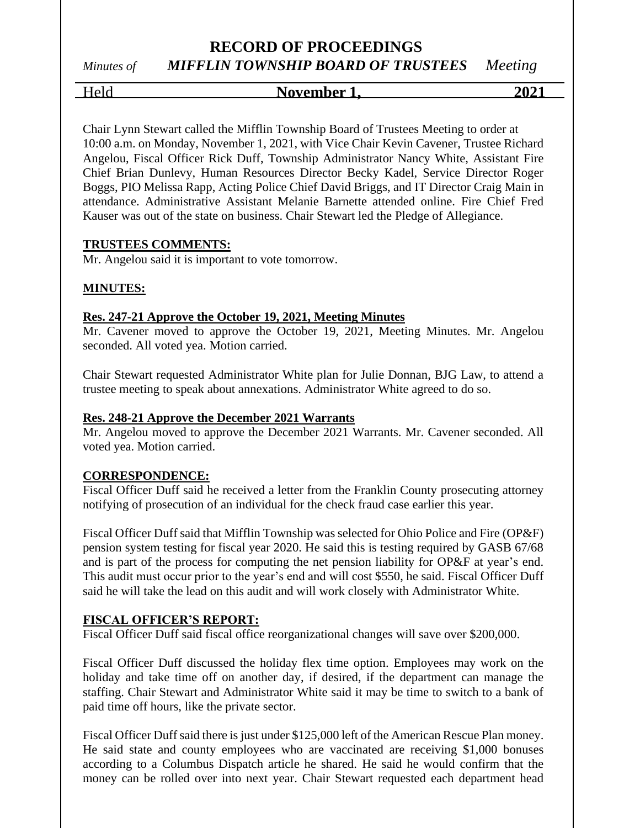# **RECORD OF PROCEEDINGS**

*Minutes of MIFFLIN TOWNSHIP BOARD OF TRUSTEES Meeting*

## Held **November 1, 2021**

Chair Lynn Stewart called the Mifflin Township Board of Trustees Meeting to order at 10:00 a.m. on Monday, November 1, 2021, with Vice Chair Kevin Cavener, Trustee Richard Angelou, Fiscal Officer Rick Duff, Township Administrator Nancy White, Assistant Fire Chief Brian Dunlevy, Human Resources Director Becky Kadel, Service Director Roger Boggs, PIO Melissa Rapp, Acting Police Chief David Briggs, and IT Director Craig Main in attendance. Administrative Assistant Melanie Barnette attended online. Fire Chief Fred Kauser was out of the state on business. Chair Stewart led the Pledge of Allegiance.

#### **TRUSTEES COMMENTS:**

Mr. Angelou said it is important to vote tomorrow.

#### **MINUTES:**

#### **Res. 247-21 Approve the October 19, 2021, Meeting Minutes**

Mr. Cavener moved to approve the October 19, 2021, Meeting Minutes. Mr. Angelou seconded. All voted yea. Motion carried.

Chair Stewart requested Administrator White plan for Julie Donnan, BJG Law, to attend a trustee meeting to speak about annexations. Administrator White agreed to do so.

#### **Res. 248-21 Approve the December 2021 Warrants**

Mr. Angelou moved to approve the December 2021 Warrants. Mr. Cavener seconded. All voted yea. Motion carried.

#### **CORRESPONDENCE:**

Fiscal Officer Duff said he received a letter from the Franklin County prosecuting attorney notifying of prosecution of an individual for the check fraud case earlier this year.

Fiscal Officer Duff said that Mifflin Township was selected for Ohio Police and Fire (OP&F) pension system testing for fiscal year 2020. He said this is testing required by GASB 67/68 and is part of the process for computing the net pension liability for OP&F at year's end. This audit must occur prior to the year's end and will cost \$550, he said. Fiscal Officer Duff said he will take the lead on this audit and will work closely with Administrator White.

#### **FISCAL OFFICER'S REPORT:**

Fiscal Officer Duff said fiscal office reorganizational changes will save over \$200,000.

Fiscal Officer Duff discussed the holiday flex time option. Employees may work on the holiday and take time off on another day, if desired, if the department can manage the staffing. Chair Stewart and Administrator White said it may be time to switch to a bank of paid time off hours, like the private sector.

Fiscal Officer Duff said there is just under \$125,000 left of the American Rescue Plan money. He said state and county employees who are vaccinated are receiving \$1,000 bonuses according to a Columbus Dispatch article he shared. He said he would confirm that the money can be rolled over into next year. Chair Stewart requested each department head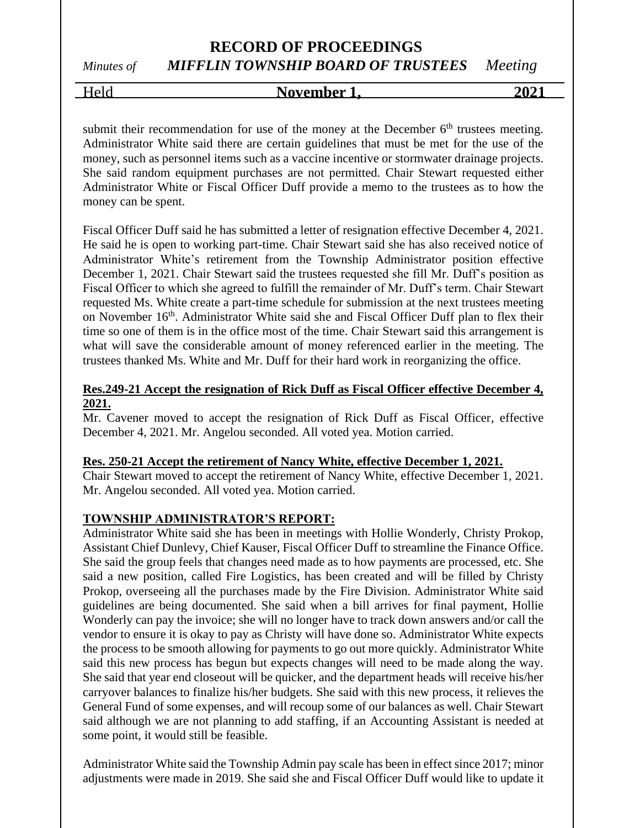# Held **November 1, 2021**

submit their recommendation for use of the money at the December  $6<sup>th</sup>$  trustees meeting. Administrator White said there are certain guidelines that must be met for the use of the money, such as personnel items such as a vaccine incentive or stormwater drainage projects. She said random equipment purchases are not permitted. Chair Stewart requested either Administrator White or Fiscal Officer Duff provide a memo to the trustees as to how the money can be spent.

Fiscal Officer Duff said he has submitted a letter of resignation effective December 4, 2021. He said he is open to working part-time. Chair Stewart said she has also received notice of Administrator White's retirement from the Township Administrator position effective December 1, 2021. Chair Stewart said the trustees requested she fill Mr. Duff's position as Fiscal Officer to which she agreed to fulfill the remainder of Mr. Duff's term. Chair Stewart requested Ms. White create a part-time schedule for submission at the next trustees meeting on November 16<sup>th</sup>. Administrator White said she and Fiscal Officer Duff plan to flex their time so one of them is in the office most of the time. Chair Stewart said this arrangement is what will save the considerable amount of money referenced earlier in the meeting. The trustees thanked Ms. White and Mr. Duff for their hard work in reorganizing the office.

#### **Res.249-21 Accept the resignation of Rick Duff as Fiscal Officer effective December 4, 2021.**

Mr. Cavener moved to accept the resignation of Rick Duff as Fiscal Officer, effective December 4, 2021. Mr. Angelou seconded. All voted yea. Motion carried.

#### **Res. 250-21 Accept the retirement of Nancy White, effective December 1, 2021.**

Chair Stewart moved to accept the retirement of Nancy White, effective December 1, 2021. Mr. Angelou seconded. All voted yea. Motion carried.

#### **TOWNSHIP ADMINISTRATOR'S REPORT:**

Administrator White said she has been in meetings with Hollie Wonderly, Christy Prokop, Assistant Chief Dunlevy, Chief Kauser, Fiscal Officer Duff to streamline the Finance Office. She said the group feels that changes need made as to how payments are processed, etc. She said a new position, called Fire Logistics, has been created and will be filled by Christy Prokop, overseeing all the purchases made by the Fire Division. Administrator White said guidelines are being documented. She said when a bill arrives for final payment, Hollie Wonderly can pay the invoice; she will no longer have to track down answers and/or call the vendor to ensure it is okay to pay as Christy will have done so. Administrator White expects the process to be smooth allowing for payments to go out more quickly. Administrator White said this new process has begun but expects changes will need to be made along the way. She said that year end closeout will be quicker, and the department heads will receive his/her carryover balances to finalize his/her budgets. She said with this new process, it relieves the General Fund of some expenses, and will recoup some of our balances as well. Chair Stewart said although we are not planning to add staffing, if an Accounting Assistant is needed at some point, it would still be feasible.

Administrator White said the Township Admin pay scale has been in effect since 2017; minor adjustments were made in 2019. She said she and Fiscal Officer Duff would like to update it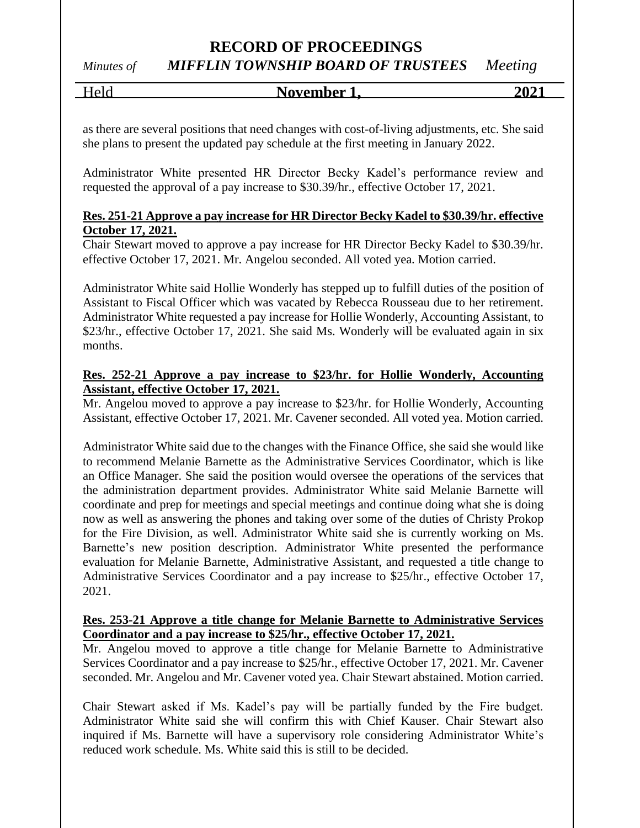## **RECORD OF PROCEEDINGS**

## *Minutes of MIFFLIN TOWNSHIP BOARD OF TRUSTEES Meeting*

Held **November 1, 2021**

as there are several positions that need changes with cost-of-living adjustments, etc. She said she plans to present the updated pay schedule at the first meeting in January 2022.

Administrator White presented HR Director Becky Kadel's performance review and requested the approval of a pay increase to \$30.39/hr., effective October 17, 2021.

#### **Res. 251-21 Approve a pay increase for HR Director Becky Kadel to \$30.39/hr. effective October 17, 2021.**

Chair Stewart moved to approve a pay increase for HR Director Becky Kadel to \$30.39/hr. effective October 17, 2021. Mr. Angelou seconded. All voted yea. Motion carried.

Administrator White said Hollie Wonderly has stepped up to fulfill duties of the position of Assistant to Fiscal Officer which was vacated by Rebecca Rousseau due to her retirement. Administrator White requested a pay increase for Hollie Wonderly, Accounting Assistant, to \$23/hr., effective October 17, 2021. She said Ms. Wonderly will be evaluated again in six months.

#### **Res. 252-21 Approve a pay increase to \$23/hr. for Hollie Wonderly, Accounting Assistant, effective October 17, 2021.**

Mr. Angelou moved to approve a pay increase to \$23/hr. for Hollie Wonderly, Accounting Assistant, effective October 17, 2021. Mr. Cavener seconded. All voted yea. Motion carried.

Administrator White said due to the changes with the Finance Office, she said she would like to recommend Melanie Barnette as the Administrative Services Coordinator, which is like an Office Manager. She said the position would oversee the operations of the services that the administration department provides. Administrator White said Melanie Barnette will coordinate and prep for meetings and special meetings and continue doing what she is doing now as well as answering the phones and taking over some of the duties of Christy Prokop for the Fire Division, as well. Administrator White said she is currently working on Ms. Barnette's new position description. Administrator White presented the performance evaluation for Melanie Barnette, Administrative Assistant, and requested a title change to Administrative Services Coordinator and a pay increase to \$25/hr., effective October 17, 2021.

#### **Res. 253-21 Approve a title change for Melanie Barnette to Administrative Services Coordinator and a pay increase to \$25/hr., effective October 17, 2021.**

Mr. Angelou moved to approve a title change for Melanie Barnette to Administrative Services Coordinator and a pay increase to \$25/hr., effective October 17, 2021. Mr. Cavener seconded. Mr. Angelou and Mr. Cavener voted yea. Chair Stewart abstained. Motion carried.

Chair Stewart asked if Ms. Kadel's pay will be partially funded by the Fire budget. Administrator White said she will confirm this with Chief Kauser. Chair Stewart also inquired if Ms. Barnette will have a supervisory role considering Administrator White's reduced work schedule. Ms. White said this is still to be decided.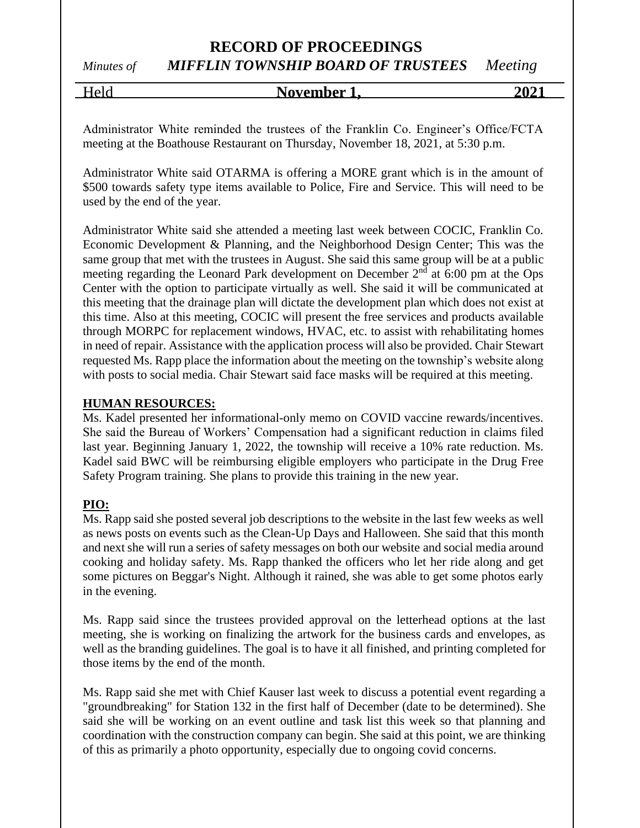Held **November 1, 2021**

Administrator White reminded the trustees of the Franklin Co. Engineer's Office/FCTA meeting at the Boathouse Restaurant on Thursday, November 18, 2021, at 5:30 p.m.

Administrator White said OTARMA is offering a MORE grant which is in the amount of \$500 towards safety type items available to Police, Fire and Service. This will need to be used by the end of the year.

Administrator White said she attended a meeting last week between COCIC, Franklin Co. Economic Development & Planning, and the Neighborhood Design Center; This was the same group that met with the trustees in August. She said this same group will be at a public meeting regarding the Leonard Park development on December  $2<sup>nd</sup>$  at 6:00 pm at the Ops Center with the option to participate virtually as well. She said it will be communicated at this meeting that the drainage plan will dictate the development plan which does not exist at this time. Also at this meeting, COCIC will present the free services and products available through MORPC for replacement windows, HVAC, etc. to assist with rehabilitating homes in need of repair. Assistance with the application process will also be provided. Chair Stewart requested Ms. Rapp place the information about the meeting on the township's website along with posts to social media. Chair Stewart said face masks will be required at this meeting.

#### **HUMAN RESOURCES:**

Ms. Kadel presented her informational-only memo on COVID vaccine rewards/incentives. She said the Bureau of Workers' Compensation had a significant reduction in claims filed last year. Beginning January 1, 2022, the township will receive a 10% rate reduction. Ms. Kadel said BWC will be reimbursing eligible employers who participate in the Drug Free Safety Program training. She plans to provide this training in the new year.

#### **PIO:**

 $\overline{Ms}$ . Rapp said she posted several job descriptions to the website in the last few weeks as well as news posts on events such as the Clean-Up Days and Halloween. She said that this month and next she will run a series of safety messages on both our website and social media around cooking and holiday safety. Ms. Rapp thanked the officers who let her ride along and get some pictures on Beggar's Night. Although it rained, she was able to get some photos early in the evening.

Ms. Rapp said since the trustees provided approval on the letterhead options at the last meeting, she is working on finalizing the artwork for the business cards and envelopes, as well as the branding guidelines. The goal is to have it all finished, and printing completed for those items by the end of the month.

Ms. Rapp said she met with Chief Kauser last week to discuss a potential event regarding a "groundbreaking" for Station 132 in the first half of December (date to be determined). She said she will be working on an event outline and task list this week so that planning and coordination with the construction company can begin. She said at this point, we are thinking of this as primarily a photo opportunity, especially due to ongoing covid concerns.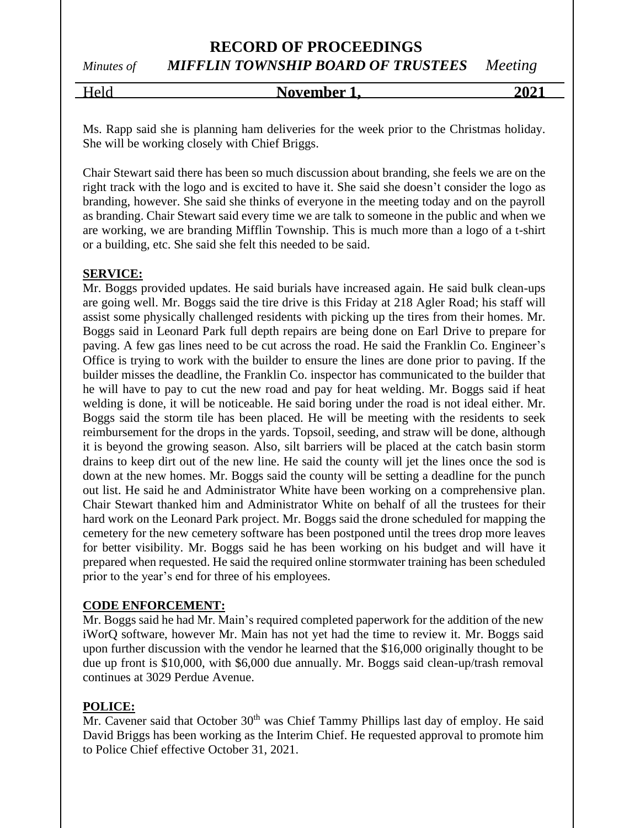# Held **November 1, 2021**

Ms. Rapp said she is planning ham deliveries for the week prior to the Christmas holiday. She will be working closely with Chief Briggs.

Chair Stewart said there has been so much discussion about branding, she feels we are on the right track with the logo and is excited to have it. She said she doesn't consider the logo as branding, however. She said she thinks of everyone in the meeting today and on the payroll as branding. Chair Stewart said every time we are talk to someone in the public and when we are working, we are branding Mifflin Township. This is much more than a logo of a t-shirt or a building, etc. She said she felt this needed to be said.

#### **SERVICE:**

Mr. Boggs provided updates. He said burials have increased again. He said bulk clean-ups are going well. Mr. Boggs said the tire drive is this Friday at 218 Agler Road; his staff will assist some physically challenged residents with picking up the tires from their homes. Mr. Boggs said in Leonard Park full depth repairs are being done on Earl Drive to prepare for paving. A few gas lines need to be cut across the road. He said the Franklin Co. Engineer's Office is trying to work with the builder to ensure the lines are done prior to paving. If the builder misses the deadline, the Franklin Co. inspector has communicated to the builder that he will have to pay to cut the new road and pay for heat welding. Mr. Boggs said if heat welding is done, it will be noticeable. He said boring under the road is not ideal either. Mr. Boggs said the storm tile has been placed. He will be meeting with the residents to seek reimbursement for the drops in the yards. Topsoil, seeding, and straw will be done, although it is beyond the growing season. Also, silt barriers will be placed at the catch basin storm drains to keep dirt out of the new line. He said the county will jet the lines once the sod is down at the new homes. Mr. Boggs said the county will be setting a deadline for the punch out list. He said he and Administrator White have been working on a comprehensive plan. Chair Stewart thanked him and Administrator White on behalf of all the trustees for their hard work on the Leonard Park project. Mr. Boggs said the drone scheduled for mapping the cemetery for the new cemetery software has been postponed until the trees drop more leaves for better visibility. Mr. Boggs said he has been working on his budget and will have it prepared when requested. He said the required online stormwater training has been scheduled prior to the year's end for three of his employees.

#### **CODE ENFORCEMENT:**

Mr. Boggs said he had Mr. Main's required completed paperwork for the addition of the new iWorQ software, however Mr. Main has not yet had the time to review it. Mr. Boggs said upon further discussion with the vendor he learned that the \$16,000 originally thought to be due up front is \$10,000, with \$6,000 due annually. Mr. Boggs said clean-up/trash removal continues at 3029 Perdue Avenue.

#### **POLICE:**

Mr. Cavener said that October  $30<sup>th</sup>$  was Chief Tammy Phillips last day of employ. He said David Briggs has been working as the Interim Chief. He requested approval to promote him to Police Chief effective October 31, 2021.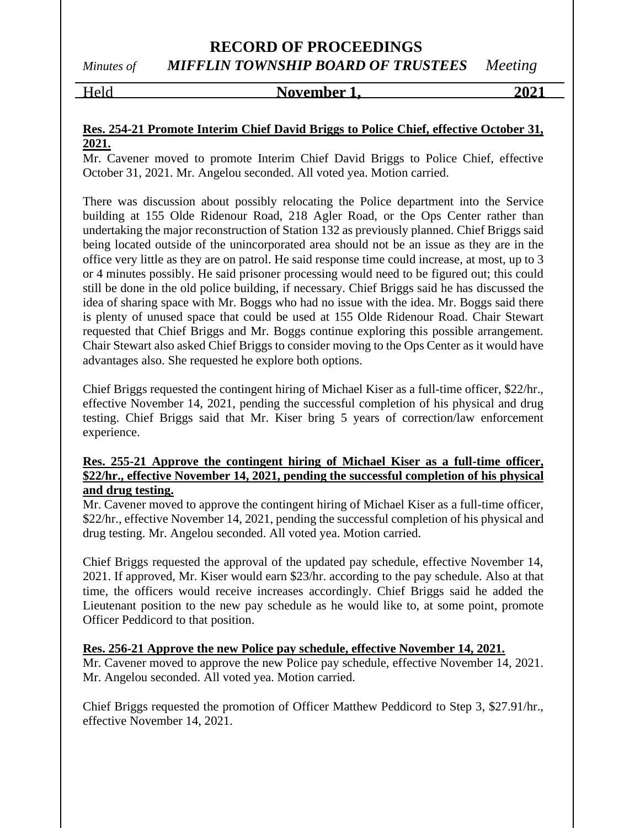#### Held **November 1, 2021**

#### **Res. 254-21 Promote Interim Chief David Briggs to Police Chief, effective October 31, 2021.**

Mr. Cavener moved to promote Interim Chief David Briggs to Police Chief, effective October 31, 2021. Mr. Angelou seconded. All voted yea. Motion carried.

There was discussion about possibly relocating the Police department into the Service building at 155 Olde Ridenour Road, 218 Agler Road, or the Ops Center rather than undertaking the major reconstruction of Station 132 as previously planned. Chief Briggs said being located outside of the unincorporated area should not be an issue as they are in the office very little as they are on patrol. He said response time could increase, at most, up to 3 or 4 minutes possibly. He said prisoner processing would need to be figured out; this could still be done in the old police building, if necessary. Chief Briggs said he has discussed the idea of sharing space with Mr. Boggs who had no issue with the idea. Mr. Boggs said there is plenty of unused space that could be used at 155 Olde Ridenour Road. Chair Stewart requested that Chief Briggs and Mr. Boggs continue exploring this possible arrangement. Chair Stewart also asked Chief Briggs to consider moving to the Ops Center as it would have advantages also. She requested he explore both options.

Chief Briggs requested the contingent hiring of Michael Kiser as a full-time officer, \$22/hr., effective November 14, 2021, pending the successful completion of his physical and drug testing. Chief Briggs said that Mr. Kiser bring 5 years of correction/law enforcement experience.

#### **Res. 255-21 Approve the contingent hiring of Michael Kiser as a full-time officer, \$22/hr., effective November 14, 2021, pending the successful completion of his physical and drug testing.**

Mr. Cavener moved to approve the contingent hiring of Michael Kiser as a full-time officer, \$22/hr., effective November 14, 2021, pending the successful completion of his physical and drug testing. Mr. Angelou seconded. All voted yea. Motion carried.

Chief Briggs requested the approval of the updated pay schedule, effective November 14, 2021. If approved, Mr. Kiser would earn \$23/hr. according to the pay schedule. Also at that time, the officers would receive increases accordingly. Chief Briggs said he added the Lieutenant position to the new pay schedule as he would like to, at some point, promote Officer Peddicord to that position.

**Res. 256-21 Approve the new Police pay schedule, effective November 14, 2021.** Mr. Cavener moved to approve the new Police pay schedule, effective November 14, 2021. Mr. Angelou seconded. All voted yea. Motion carried.

Chief Briggs requested the promotion of Officer Matthew Peddicord to Step 3, \$27.91/hr., effective November 14, 2021.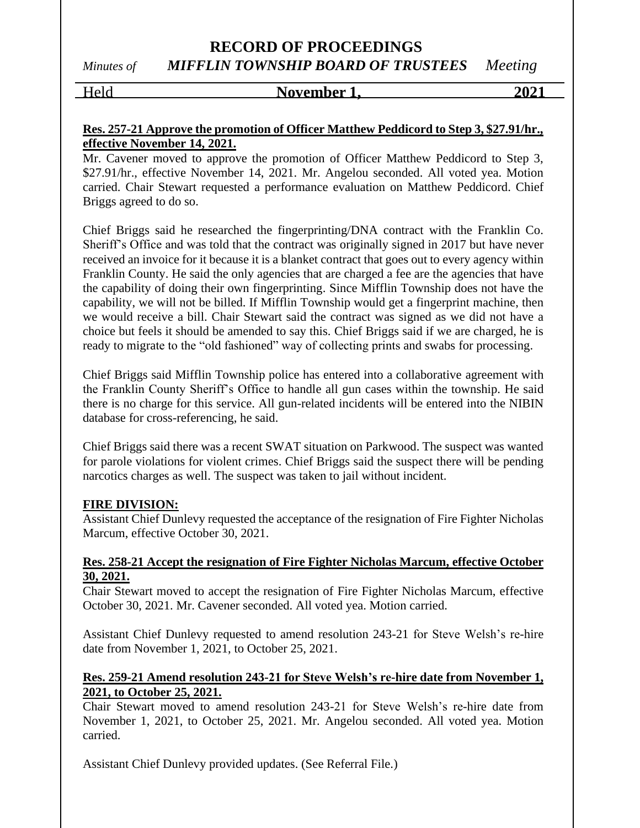#### Held **November 1, 2021**

#### **Res. 257-21 Approve the promotion of Officer Matthew Peddicord to Step 3, \$27.91/hr., effective November 14, 2021.**

Mr. Cavener moved to approve the promotion of Officer Matthew Peddicord to Step 3, \$27.91/hr., effective November 14, 2021. Mr. Angelou seconded. All voted yea. Motion carried. Chair Stewart requested a performance evaluation on Matthew Peddicord. Chief Briggs agreed to do so.

Chief Briggs said he researched the fingerprinting/DNA contract with the Franklin Co. Sheriff's Office and was told that the contract was originally signed in 2017 but have never received an invoice for it because it is a blanket contract that goes out to every agency within Franklin County. He said the only agencies that are charged a fee are the agencies that have the capability of doing their own fingerprinting. Since Mifflin Township does not have the capability, we will not be billed. If Mifflin Township would get a fingerprint machine, then we would receive a bill. Chair Stewart said the contract was signed as we did not have a choice but feels it should be amended to say this. Chief Briggs said if we are charged, he is ready to migrate to the "old fashioned" way of collecting prints and swabs for processing.

Chief Briggs said Mifflin Township police has entered into a collaborative agreement with the Franklin County Sheriff's Office to handle all gun cases within the township. He said there is no charge for this service. All gun-related incidents will be entered into the NIBIN database for cross-referencing, he said.

Chief Briggs said there was a recent SWAT situation on Parkwood. The suspect was wanted for parole violations for violent crimes. Chief Briggs said the suspect there will be pending narcotics charges as well. The suspect was taken to jail without incident.

#### **FIRE DIVISION:**

Assistant Chief Dunlevy requested the acceptance of the resignation of Fire Fighter Nicholas Marcum, effective October 30, 2021.

#### **Res. 258-21 Accept the resignation of Fire Fighter Nicholas Marcum, effective October 30, 2021.**

Chair Stewart moved to accept the resignation of Fire Fighter Nicholas Marcum, effective October 30, 2021. Mr. Cavener seconded. All voted yea. Motion carried.

Assistant Chief Dunlevy requested to amend resolution 243-21 for Steve Welsh's re-hire date from November 1, 2021, to October 25, 2021.

#### **Res. 259-21 Amend resolution 243-21 for Steve Welsh's re-hire date from November 1, 2021, to October 25, 2021.**

Chair Stewart moved to amend resolution 243-21 for Steve Welsh's re-hire date from November 1, 2021, to October 25, 2021. Mr. Angelou seconded. All voted yea. Motion carried.

Assistant Chief Dunlevy provided updates. (See Referral File.)